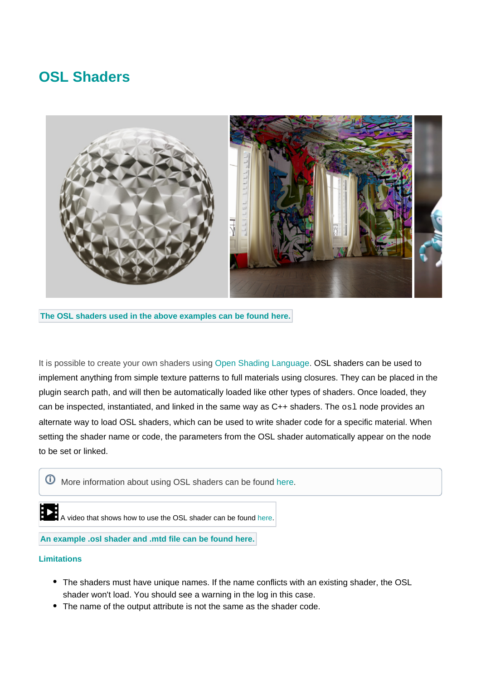# **OSL Shaders**



**The OSL shaders used in the above examples can be found [here](https://github.com/ADN-DevTech/3dsMax-OSL-Shaders).**

It is possible to create your own shaders using [Open Shading Language](https://docs.arnoldrenderer.com/display/A5ARP/OSL+Shaders). OSL shaders can be used to implement anything from simple texture patterns to full materials using closures. They can be placed in the plugin search path, and will then be automatically loaded like other types of shaders. Once loaded, they can be inspected, instantiated, and linked in the same way as  $C++$  shaders. The  $\circ$ sl node provides an alternate way to load OSL shaders, which can be used to write shader code for a specific material. When setting the shader name or code, the parameters from the OSL shader automatically appear on the node to be set or linked.

More information about using OSL shaders can be found [here.](https://docs.arnoldrenderer.com/display/A5ARP/OSL+Shaders)

**A video that shows how to use the OSL shader can be found [here](https://www.youtube.com/watch?v=qC1ayMyo7pI&t=5s).** 

**An example .osl shader and .mtd file can be found [here.](https://docs.arnoldrenderer.com/download/attachments/41321166/hda.zip?version=1&modificationDate=1491995573000&api=v2)**

#### **Limitations**

- The shaders must have unique names. If the name conflicts with an existing shader, the OSL shader won't load. You should see a warning in the log in this case.
- The name of the output attribute is not the same as the shader code.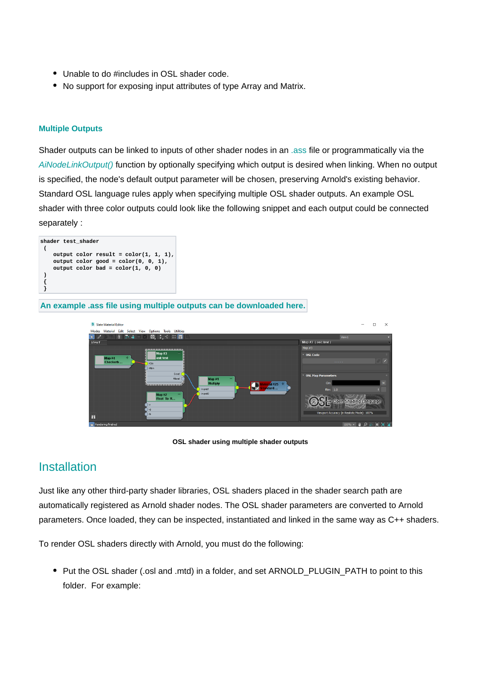- Unable to do #includes in OSL shader code.
- No support for exposing input attributes of type Array and Matrix.

### **Multiple Outputs**

Shader outputs can be linked to inputs of other shader nodes in an [.ass](https://docs.arnoldrenderer.com/pages/viewpage.action?pageId=8391141) file or programmatically via the [AiNodeLinkOutput\(\)](https://docs.arnoldrenderer.com/api/arnold-6.2.1.1/group__ai__nodes.html#gae72e639812bd02840e606c7ff82c397d) function by optionally specifying which output is desired when linking. When no output is specified, the node's default output parameter will be chosen, preserving Arnold's existing behavior. Standard OSL language rules apply when specifying multiple OSL shader outputs. An example OSL shader with three color outputs could look like the following snippet and each output could be connected separately :

| shader test shader |                                          |
|--------------------|------------------------------------------|
|                    |                                          |
|                    | output color result = $color(1, 1, 1)$ , |
|                    | output color good = $color(0, 0, 1)$ ,   |
|                    | output color bad = $color(1, 0, 0)$      |
|                    |                                          |
|                    |                                          |
|                    |                                          |
|                    |                                          |

**An example .ass file using multiple outputs can be downloaded [here](https://docs.arnoldrenderer.com/download/attachments/81726019/example_shader.ass?version=1&modificationDate=1634215098000&api=v2).**



**OSL shader using multiple shader outputs**

## **[Installation](http://support.solidangle.com/#Installation)**

Just like any other third-party shader libraries, OSL shaders placed in the shader search path are automatically registered as Arnold shader nodes. The OSL shader parameters are converted to Arnold parameters. Once loaded, they can be inspected, instantiated and linked in the same way as C++ shaders.

To render OSL shaders directly with Arnold, you must do the following:

• Put the OSL shader (.osl and .mtd) in a folder, and set ARNOLD\_PLUGIN\_PATH to point to this folder. For example: